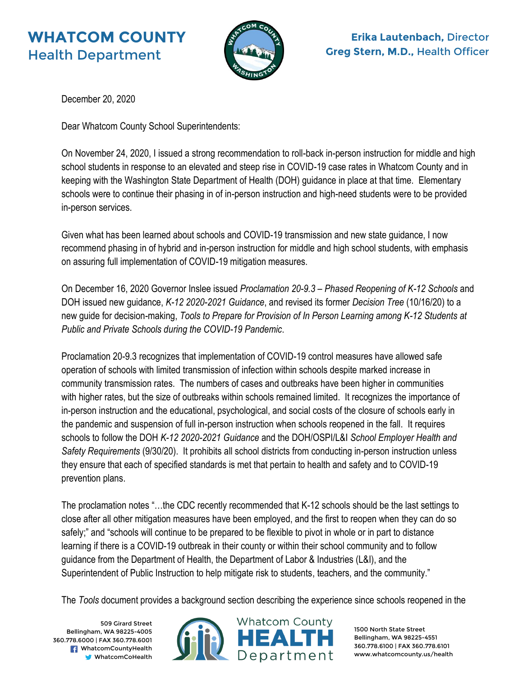# **WHATCOM COUNTY** Health Department



**Erika Lautenbach,** Director **Greg Stern, M.D.,** Health Officer

December 20, 2020

Dear Whatcom County School Superintendents:

On November 24, 2020, I issued a strong recommendation to roll-back in-person instruction for middle and high school students in response to an elevated and steep rise in COVID-19 case rates in Whatcom County and in keeping with the Washington State Department of Health (DOH) guidance in place at that time. Elementary schools were to continue their phasing in of in-person instruction and high-need students were to be provided in-person services.

Given what has been learned about schools and COVID-19 transmission and new state guidance, I now recommend phasing in of hybrid and in-person instruction for middle and high school students, with emphasis on assuring full implementation of COVID-19 mitigation measures.

On December 16, 2020 Governor Inslee issued *Proclamation 20-9.3 – Phased Reopening of K-12 Schools* and DOH issued new guidance, *[K-12 2020-2021 Guidance](https://www.doh.wa.gov/Portals/1/Documents/1600/coronavirus/FallGuidanceK-12.pdf)*, and revised its former *Decision Tree* (10/16/20) to a new guide for decision-making, *[Tools to Prepare for Provision of In Person Learning among K-12 Students at](https://www.doh.wa.gov/Portals/1/Documents/1600/coronavirus/DecisionTree-K12schools.pdf)  [Public and Private Schools during the COVID-19 Pandemic](https://www.doh.wa.gov/Portals/1/Documents/1600/coronavirus/DecisionTree-K12schools.pdf)*.

Proclamation 20-9.3 recognizes that implementation of COVID-19 control measures have allowed safe operation of schools with limited transmission of infection within schools despite marked increase in community transmission rates. The numbers of cases and outbreaks have been higher in communities with higher rates, but the size of outbreaks within schools remained limited. It recognizes the importance of in-person instruction and the educational, psychological, and social costs of the closure of schools early in the pandemic and suspension of full in-person instruction when schools reopened in the fall. It requires schools to follow the DOH *[K-12 2020-2021 Guidance](https://www.doh.wa.gov/Portals/1/Documents/1600/coronavirus/FallGuidanceK-12.pdf)* and the DOH/OSPI/L&I *School Employer Health and Safety Requirements* (9/30/20). It prohibits all school districts from conducting in-person instruction unless they ensure that each of specified standards is met that pertain to health and safety and to COVID-19 prevention plans.

The proclamation notes "…the CDC recently recommended that K-12 schools should be the last settings to close after all other mitigation measures have been employed, and the first to reopen when they can do so safely;" and "schools will continue to be prepared to be flexible to pivot in whole or in part to distance learning if there is a COVID-19 outbreak in their county or within their school community and to follow guidance from the Department of Health, the Department of Labor & Industries (L&I), and the Superintendent of Public Instruction to help mitigate risk to students, teachers, and the community."

The *Tools* document provides a background section describing the experience since schools reopened in the

509 Girard Street Bellingham, WA 98225-4005 360.778.6000 | FAX 360.778.6001 **F** WhatcomCountyHealth WhatcomCoHealth



1500 North State Street Bellingham, WA 98225-4551 360.778.6100 | FAX 360.778.6101 www.whatcomcounty.us/health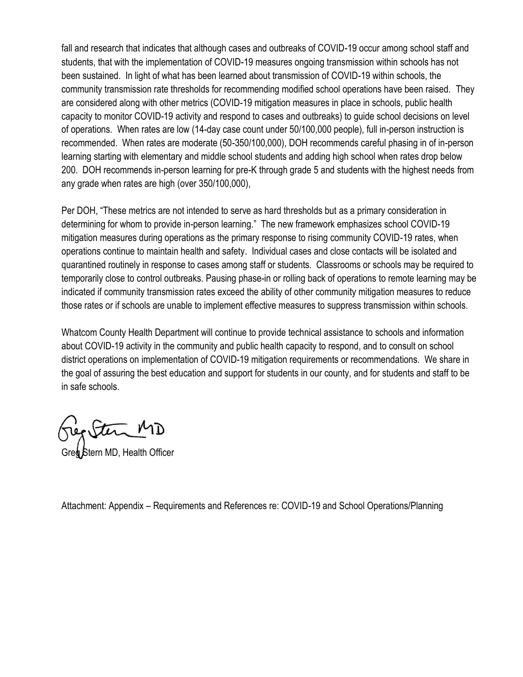fall and research that indicates that although cases and outbreaks of COVID-19 occur among school staff and students, that with the implementation of COVID-19 measures ongoing transmission within schools has not been sustained. In light of what has been learned about transmission of COVID-19 within schools, the community transmission rate thresholds for recommending modified school operations have been raised. They are considered along with other metrics (COVID-19 mitigation measures in place in schools, public health capacity to monitor COVID-19 activity and respond to cases and outbreaks) to guide school decisions on level of operations. When rates are low (14-day case count under 50/100,000 people), full in-person instruction is recommended. When rates are moderate (50-350/100,000), DOH recommends careful phasing in of in-person learning starting with elementary and middle school students and adding high school when rates drop below 200. DOH recommends in-person learning for pre-K through grade 5 and students with the highest needs from any grade when rates are high (over 350/100,000),

Per DOH, "These metrics are not intended to serve as hard thresholds but as a primary consideration in determining for whom to provide in-person learning." The new framework emphasizes school COVID-19 mitigation measures during operations as the primary response to rising community COVID-19 rates, when operations continue to maintain health and safety. Individual cases and close contacts will be isolated and quarantined routinely in response to cases among staff or students. Classrooms or schools may be required to temporarily close to control outbreaks. Pausing phase-in or rolling back of operations to remote learning may be indicated if community transmission rates exceed the ability of other community mitigation measures to reduce those rates or if schools are unable to implement effective measures to suppress transmission within schools.

Whatcom County Health Department will continue to provide technical assistance to schools and information about COVID-19 activity in the community and public health capacity to respond, and to consult on school district operations on implementation of COVID-19 mitigation requirements or recommendations. We share in the goal of assuring the best education and support for students in our county, and for students and staff to be in safe schools.

 $\operatorname{\mathsf{S}}$ tern MD, Health Officer

Attachment: Appendix – Requirements and References re: COVID-19 and School Operations/Planning